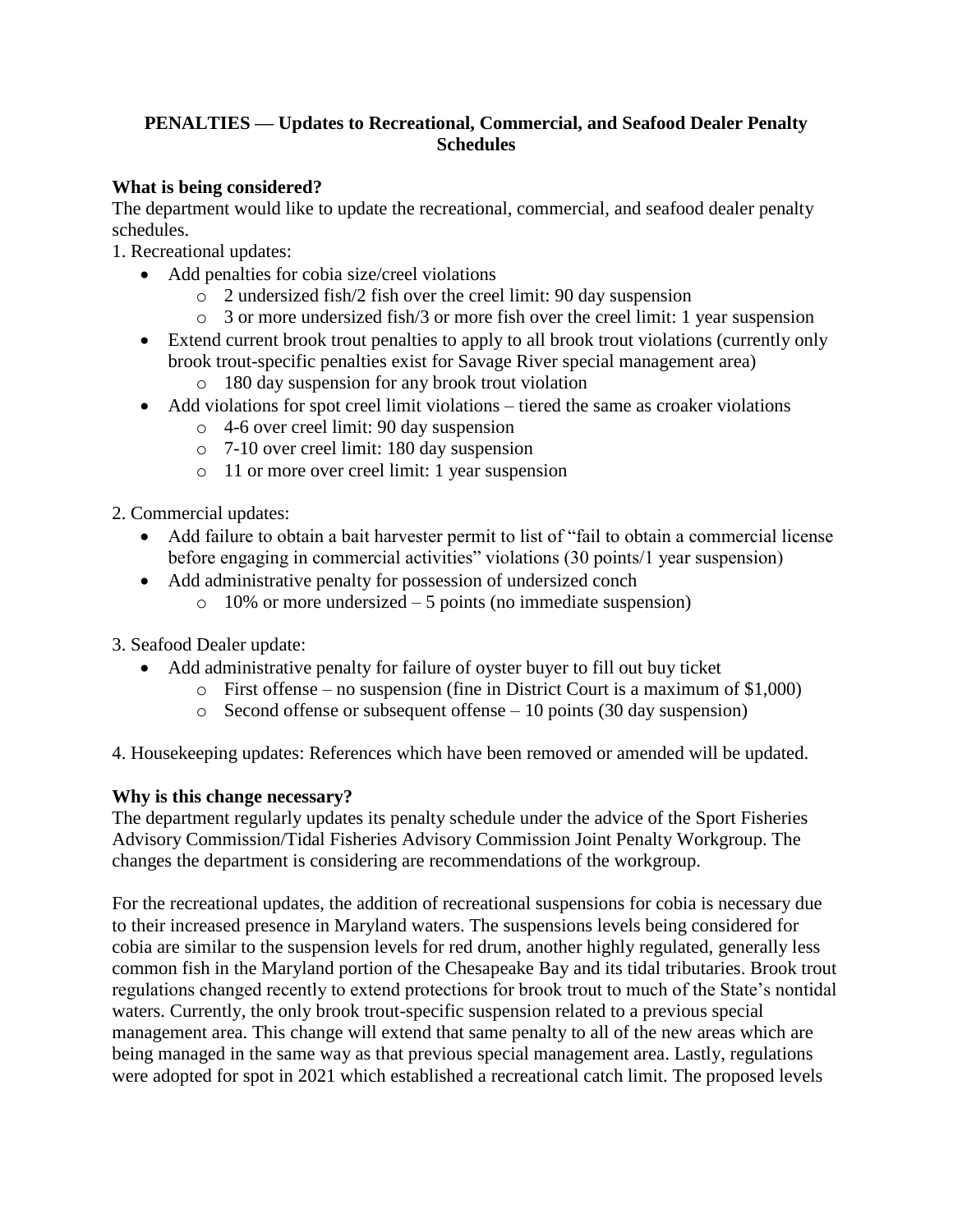## **PENALTIES — Updates to Recreational, Commercial, and Seafood Dealer Penalty Schedules**

## **What is being considered?**

The department would like to update the recreational, commercial, and seafood dealer penalty schedules.

1. Recreational updates:

- Add penalties for cobia size/creel violations
	- o 2 undersized fish/2 fish over the creel limit: 90 day suspension
	- o 3 or more undersized fish/3 or more fish over the creel limit: 1 year suspension
- Extend current brook trout penalties to apply to all brook trout violations (currently only brook trout-specific penalties exist for Savage River special management area)
	- o 180 day suspension for any brook trout violation
- Add violations for spot creel limit violations tiered the same as croaker violations
	- o 4-6 over creel limit: 90 day suspension
	- o 7-10 over creel limit: 180 day suspension
	- o 11 or more over creel limit: 1 year suspension
- 2. Commercial updates:
	- Add failure to obtain a bait harvester permit to list of "fail to obtain a commercial license before engaging in commercial activities" violations (30 points/1 year suspension)
	- Add administrative penalty for possession of undersized conch
		- $\circ$  10% or more undersized 5 points (no immediate suspension)
- 3. Seafood Dealer update:
	- Add administrative penalty for failure of oyster buyer to fill out buy ticket
		- o First offense no suspension (fine in District Court is a maximum of \$1,000)
		- $\circ$  Second offense or subsequent offense 10 points (30 day suspension)

4. Housekeeping updates: References which have been removed or amended will be updated.

# **Why is this change necessary?**

The department regularly updates its penalty schedule under the advice of the Sport Fisheries Advisory Commission/Tidal Fisheries Advisory Commission Joint Penalty Workgroup. The changes the department is considering are recommendations of the workgroup.

For the recreational updates, the addition of recreational suspensions for cobia is necessary due to their increased presence in Maryland waters. The suspensions levels being considered for cobia are similar to the suspension levels for red drum, another highly regulated, generally less common fish in the Maryland portion of the Chesapeake Bay and its tidal tributaries. Brook trout regulations changed recently to extend protections for brook trout to much of the State's nontidal waters. Currently, the only brook trout-specific suspension related to a previous special management area. This change will extend that same penalty to all of the new areas which are being managed in the same way as that previous special management area. Lastly, regulations were adopted for spot in 2021 which established a recreational catch limit. The proposed levels